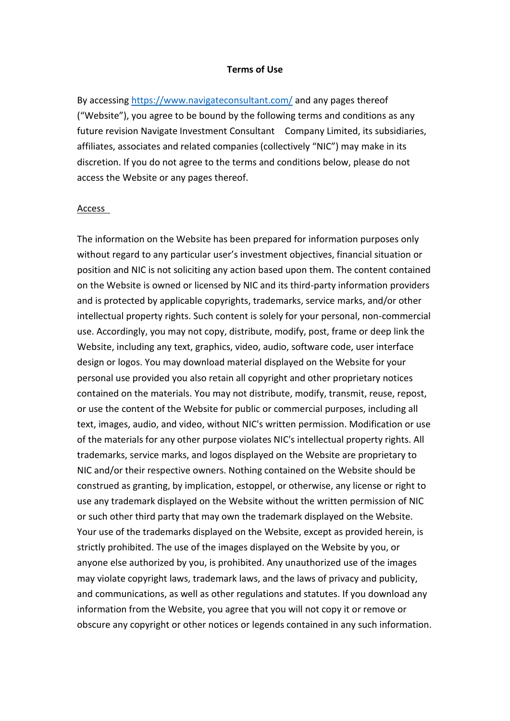## **Terms of Use**

By accessing <https://www.navigateconsultant.com/> and any pages thereof ("Website"), you agree to be bound by the following terms and conditions as any future revision Navigate Investment Consultant Company Limited, its subsidiaries, affiliates, associates and related companies (collectively "NIC") may make in its discretion. If you do not agree to the terms and conditions below, please do not access the Website or any pages thereof.

## Access

The information on the Website has been prepared for information purposes only without regard to any particular user's investment objectives, financial situation or position and NIC is not soliciting any action based upon them. The content contained on the Website is owned or licensed by NIC and its third-party information providers and is protected by applicable copyrights, trademarks, service marks, and/or other intellectual property rights. Such content is solely for your personal, non-commercial use. Accordingly, you may not copy, distribute, modify, post, frame or deep link the Website, including any text, graphics, video, audio, software code, user interface design or logos. You may download material displayed on the Website for your personal use provided you also retain all copyright and other proprietary notices contained on the materials. You may not distribute, modify, transmit, reuse, repost, or use the content of the Website for public or commercial purposes, including all text, images, audio, and video, without NIC's written permission. Modification or use of the materials for any other purpose violates NIC's intellectual property rights. All trademarks, service marks, and logos displayed on the Website are proprietary to NIC and/or their respective owners. Nothing contained on the Website should be construed as granting, by implication, estoppel, or otherwise, any license or right to use any trademark displayed on the Website without the written permission of NIC or such other third party that may own the trademark displayed on the Website. Your use of the trademarks displayed on the Website, except as provided herein, is strictly prohibited. The use of the images displayed on the Website by you, or anyone else authorized by you, is prohibited. Any unauthorized use of the images may violate copyright laws, trademark laws, and the laws of privacy and publicity, and communications, as well as other regulations and statutes. If you download any information from the Website, you agree that you will not copy it or remove or obscure any copyright or other notices or legends contained in any such information.